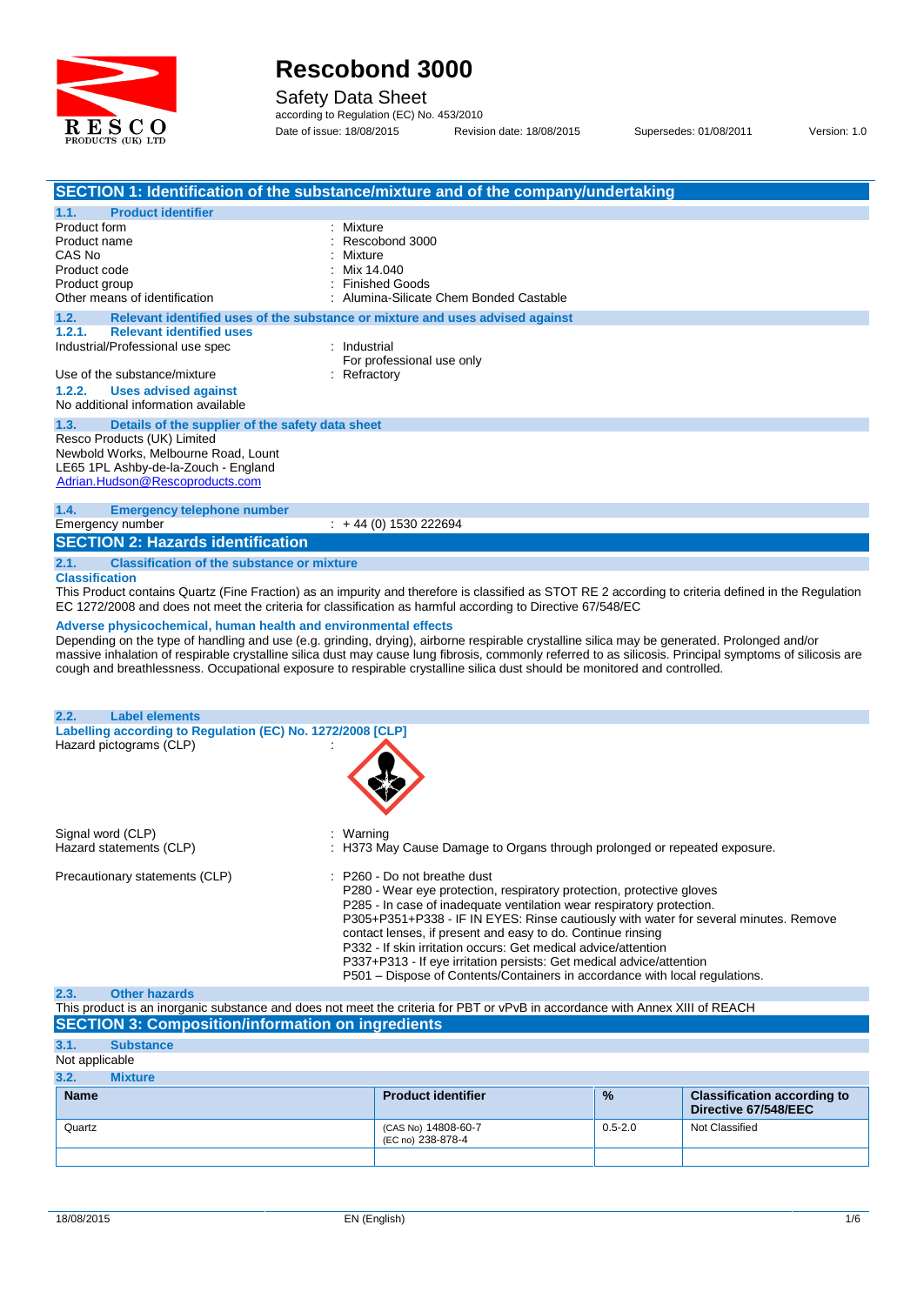

Safety Data Sheet

according to Regulation (EC) No. 453/2010 Date of issue: 18/08/2015 Revision date: 18/08/2015 Supersedes: 01/08/2011 Version: 1.0

|                                                                                                        | SECTION 1: Identification of the substance/mixture and of the company/undertaking                                                                        |
|--------------------------------------------------------------------------------------------------------|----------------------------------------------------------------------------------------------------------------------------------------------------------|
| <b>Product identifier</b><br>1.1.                                                                      |                                                                                                                                                          |
| Product form                                                                                           | : Mixture                                                                                                                                                |
| Product name                                                                                           | Rescobond 3000                                                                                                                                           |
| CAS No                                                                                                 | Mixture                                                                                                                                                  |
| Product code                                                                                           | Mix 14.040                                                                                                                                               |
| Product group                                                                                          | <b>Finished Goods</b>                                                                                                                                    |
| Other means of identification                                                                          | : Alumina-Silicate Chem Bonded Castable                                                                                                                  |
| 1.2.                                                                                                   | Relevant identified uses of the substance or mixture and uses advised against                                                                            |
| 1.2.1.<br><b>Relevant identified uses</b>                                                              |                                                                                                                                                          |
| Industrial/Professional use spec                                                                       | : Industrial                                                                                                                                             |
|                                                                                                        | For professional use only                                                                                                                                |
| Use of the substance/mixture                                                                           | : Refractory                                                                                                                                             |
| 1.2.2.<br><b>Uses advised against</b>                                                                  |                                                                                                                                                          |
| No additional information available                                                                    |                                                                                                                                                          |
| 1.3.<br>Details of the supplier of the safety data sheet                                               |                                                                                                                                                          |
| Resco Products (UK) Limited                                                                            |                                                                                                                                                          |
| Newbold Works, Melbourne Road, Lount                                                                   |                                                                                                                                                          |
| LE65 1PL Ashby-de-la-Zouch - England                                                                   |                                                                                                                                                          |
| Adrian.Hudson@Rescoproducts.com                                                                        |                                                                                                                                                          |
|                                                                                                        |                                                                                                                                                          |
| 1.4.<br><b>Emergency telephone number</b>                                                              |                                                                                                                                                          |
| Emergency number                                                                                       | $\div$ + 44 (0) 1530 222694                                                                                                                              |
| <b>SECTION 2: Hazards identification</b>                                                               |                                                                                                                                                          |
|                                                                                                        |                                                                                                                                                          |
| <b>Classification of the substance or mixture</b><br>2.1.                                              |                                                                                                                                                          |
| <b>Classification</b>                                                                                  |                                                                                                                                                          |
|                                                                                                        | This Product contains Quartz (Fine Fraction) as an impurity and therefore is classified as STOT RE 2 according to criteria defined in the Regulation     |
|                                                                                                        | EC 1272/2008 and does not meet the criteria for classification as harmful according to Directive 67/548/EC                                               |
| Adverse physicochemical, human health and environmental effects                                        |                                                                                                                                                          |
|                                                                                                        | Depending on the type of handling and use (e.g. grinding, drying), airborne respirable crystalline silica may be generated. Prolonged and/or             |
|                                                                                                        | massive inhalation of respirable crystalline silica dust may cause lung fibrosis, commonly referred to as silicosis. Principal symptoms of silicosis are |
|                                                                                                        | cough and breathlessness. Occupational exposure to respirable crystalline silica dust should be monitored and controlled.                                |
|                                                                                                        |                                                                                                                                                          |
|                                                                                                        |                                                                                                                                                          |
| <b>Label elements</b><br>2.2.                                                                          |                                                                                                                                                          |
| Labelling according to Regulation (EC) No. 1272/2008 [CLP]                                             |                                                                                                                                                          |
| Hazard pictograms (CLP)                                                                                |                                                                                                                                                          |
|                                                                                                        |                                                                                                                                                          |
|                                                                                                        |                                                                                                                                                          |
|                                                                                                        |                                                                                                                                                          |
|                                                                                                        |                                                                                                                                                          |
|                                                                                                        |                                                                                                                                                          |
| Signal word (CLP)                                                                                      | : Warning                                                                                                                                                |
| Hazard statements (CLP)                                                                                | : H373 May Cause Damage to Organs through prolonged or repeated exposure.                                                                                |
|                                                                                                        |                                                                                                                                                          |
| Precautionary statements (CLP)                                                                         | : P260 - Do not breathe dust                                                                                                                             |
|                                                                                                        | P280 - Wear eye protection, respiratory protection, protective gloves                                                                                    |
|                                                                                                        | P285 - In case of inadequate ventilation wear respiratory protection.                                                                                    |
|                                                                                                        | P305+P351+P338 - IF IN EYES: Rinse cautiously with water for several minutes. Remove                                                                     |
|                                                                                                        | contact lenses, if present and easy to do. Continue rinsing                                                                                              |
|                                                                                                        |                                                                                                                                                          |
|                                                                                                        | P332 - If skin irritation occurs: Get medical advice/attention                                                                                           |
|                                                                                                        | P337+P313 - If eye irritation persists: Get medical advice/attention                                                                                     |
|                                                                                                        | P501 – Dispose of Contents/Containers in accordance with local regulations.                                                                              |
| 2.3.<br><b>Other hazards</b>                                                                           |                                                                                                                                                          |
|                                                                                                        |                                                                                                                                                          |
|                                                                                                        | This product is an inorganic substance and does not meet the criteria for PBT or vPvB in accordance with Annex XIII of REACH                             |
|                                                                                                        |                                                                                                                                                          |
| <b>SECTION 3: Composition/information on ingredients</b><br>3.1.<br><b>Substance</b><br>Not applicable |                                                                                                                                                          |

| 3.2.        | <b>Mixture</b> |                                          |               |                                                            |
|-------------|----------------|------------------------------------------|---------------|------------------------------------------------------------|
| <b>Name</b> |                | <b>Product identifier</b>                | $\frac{9}{6}$ | <b>Classification according to</b><br>Directive 67/548/EEC |
| Quartz      |                | (CAS No) 14808-60-7<br>(EC no) 238-878-4 | $0.5 - 2.0$   | Not Classified                                             |
|             |                |                                          |               |                                                            |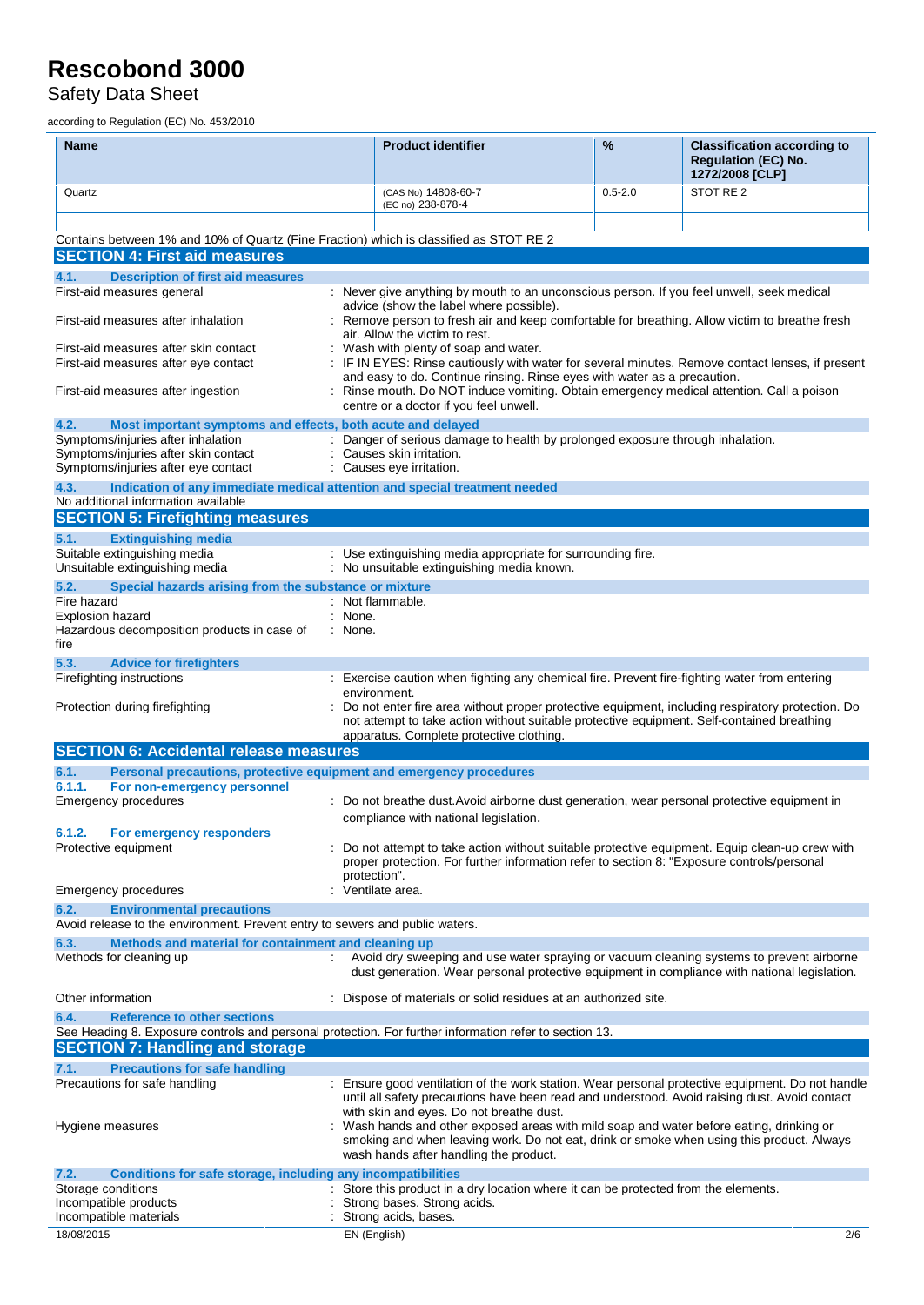Safety Data Sheet

according to Regulation (EC) No. 453/2010

| <b>Name</b>                                                                                                                                                                                    | <b>Product identifier</b>                                                                                                                                                                                                                                                                                                                                 | %           | <b>Classification according to</b><br><b>Regulation (EC) No.</b><br>1272/2008 [CLP] |
|------------------------------------------------------------------------------------------------------------------------------------------------------------------------------------------------|-----------------------------------------------------------------------------------------------------------------------------------------------------------------------------------------------------------------------------------------------------------------------------------------------------------------------------------------------------------|-------------|-------------------------------------------------------------------------------------|
| Quartz                                                                                                                                                                                         | (CAS No) 14808-60-7<br>(EC no) 238-878-4                                                                                                                                                                                                                                                                                                                  | $0.5 - 2.0$ | STOT RE 2                                                                           |
|                                                                                                                                                                                                |                                                                                                                                                                                                                                                                                                                                                           |             |                                                                                     |
| Contains between 1% and 10% of Quartz (Fine Fraction) which is classified as STOT RE 2<br><b>SECTION 4: First aid measures</b>                                                                 |                                                                                                                                                                                                                                                                                                                                                           |             |                                                                                     |
| 4.1.<br><b>Description of first aid measures</b><br>First-aid measures general                                                                                                                 | : Never give anything by mouth to an unconscious person. If you feel unwell, seek medical                                                                                                                                                                                                                                                                 |             |                                                                                     |
| First-aid measures after inhalation                                                                                                                                                            | advice (show the label where possible).<br>: Remove person to fresh air and keep comfortable for breathing. Allow victim to breathe fresh<br>air. Allow the victim to rest.                                                                                                                                                                               |             |                                                                                     |
| First-aid measures after skin contact<br>First-aid measures after eye contact                                                                                                                  | Wash with plenty of soap and water.<br>: IF IN EYES: Rinse cautiously with water for several minutes. Remove contact lenses, if present<br>and easy to do. Continue rinsing. Rinse eyes with water as a precaution.<br>: Rinse mouth. Do NOT induce vomiting. Obtain emergency medical attention. Call a poison<br>centre or a doctor if you feel unwell. |             |                                                                                     |
| First-aid measures after ingestion                                                                                                                                                             |                                                                                                                                                                                                                                                                                                                                                           |             |                                                                                     |
| 4.2.<br>Most important symptoms and effects, both acute and delayed                                                                                                                            |                                                                                                                                                                                                                                                                                                                                                           |             |                                                                                     |
| Symptoms/injuries after inhalation<br>Symptoms/injuries after skin contact<br>Symptoms/injuries after eye contact                                                                              | : Danger of serious damage to health by prolonged exposure through inhalation.<br>Causes skin irritation.<br>Causes eye irritation.                                                                                                                                                                                                                       |             |                                                                                     |
| 4.3.<br>Indication of any immediate medical attention and special treatment needed                                                                                                             |                                                                                                                                                                                                                                                                                                                                                           |             |                                                                                     |
| No additional information available<br><b>SECTION 5: Firefighting measures</b>                                                                                                                 |                                                                                                                                                                                                                                                                                                                                                           |             |                                                                                     |
| <b>Extinguishing media</b><br>5.1.                                                                                                                                                             |                                                                                                                                                                                                                                                                                                                                                           |             |                                                                                     |
| Suitable extinguishing media<br>Unsuitable extinguishing media                                                                                                                                 | : Use extinguishing media appropriate for surrounding fire.<br>: No unsuitable extinguishing media known.                                                                                                                                                                                                                                                 |             |                                                                                     |
| 5.2.<br>Special hazards arising from the substance or mixture                                                                                                                                  |                                                                                                                                                                                                                                                                                                                                                           |             |                                                                                     |
| Fire hazard<br>Explosion hazard                                                                                                                                                                | : Not flammable.<br>: None.                                                                                                                                                                                                                                                                                                                               |             |                                                                                     |
| Hazardous decomposition products in case of<br>fire                                                                                                                                            | : None.                                                                                                                                                                                                                                                                                                                                                   |             |                                                                                     |
| 5.3.<br><b>Advice for firefighters</b>                                                                                                                                                         |                                                                                                                                                                                                                                                                                                                                                           |             |                                                                                     |
| Firefighting instructions                                                                                                                                                                      | : Exercise caution when fighting any chemical fire. Prevent fire-fighting water from entering<br>environment.                                                                                                                                                                                                                                             |             |                                                                                     |
| Protection during firefighting                                                                                                                                                                 | : Do not enter fire area without proper protective equipment, including respiratory protection. Do<br>not attempt to take action without suitable protective equipment. Self-contained breathing<br>apparatus. Complete protective clothing.                                                                                                              |             |                                                                                     |
| <b>SECTION 6: Accidental release measures</b>                                                                                                                                                  |                                                                                                                                                                                                                                                                                                                                                           |             |                                                                                     |
| 6.1.<br>Personal precautions, protective equipment and emergency procedures                                                                                                                    |                                                                                                                                                                                                                                                                                                                                                           |             |                                                                                     |
| For non-emergency personnel<br>6.1.1.<br>Emergency procedures                                                                                                                                  | : Do not breathe dust. Avoid airborne dust generation, wear personal protective equipment in                                                                                                                                                                                                                                                              |             |                                                                                     |
|                                                                                                                                                                                                | compliance with national legislation.                                                                                                                                                                                                                                                                                                                     |             |                                                                                     |
| 6.1.2.<br><b>For emergency responders</b><br>Protective equipment                                                                                                                              | : Do not attempt to take action without suitable protective equipment. Equip clean-up crew with<br>proper protection. For further information refer to section 8: "Exposure controls/personal                                                                                                                                                             |             |                                                                                     |
| Emergency procedures                                                                                                                                                                           | protection".<br>Ventilate area.                                                                                                                                                                                                                                                                                                                           |             |                                                                                     |
| 6.2.<br><b>Environmental precautions</b>                                                                                                                                                       |                                                                                                                                                                                                                                                                                                                                                           |             |                                                                                     |
| Avoid release to the environment. Prevent entry to sewers and public waters.                                                                                                                   |                                                                                                                                                                                                                                                                                                                                                           |             |                                                                                     |
| Methods and material for containment and cleaning up<br>6.3.                                                                                                                                   |                                                                                                                                                                                                                                                                                                                                                           |             |                                                                                     |
| Methods for cleaning up                                                                                                                                                                        | : Avoid dry sweeping and use water spraying or vacuum cleaning systems to prevent airborne<br>dust generation. Wear personal protective equipment in compliance with national legislation.                                                                                                                                                                |             |                                                                                     |
| Other information                                                                                                                                                                              | : Dispose of materials or solid residues at an authorized site.                                                                                                                                                                                                                                                                                           |             |                                                                                     |
| 6.4.<br><b>Reference to other sections</b><br>See Heading 8. Exposure controls and personal protection. For further information refer to section 13.<br><b>SECTION 7: Handling and storage</b> |                                                                                                                                                                                                                                                                                                                                                           |             |                                                                                     |
| <b>Precautions for safe handling</b><br>7.1.                                                                                                                                                   |                                                                                                                                                                                                                                                                                                                                                           |             |                                                                                     |
| Precautions for safe handling                                                                                                                                                                  | : Ensure good ventilation of the work station. Wear personal protective equipment. Do not handle<br>until all safety precautions have been read and understood. Avoid raising dust. Avoid contact                                                                                                                                                         |             |                                                                                     |
| Hygiene measures                                                                                                                                                                               | with skin and eyes. Do not breathe dust.<br>Wash hands and other exposed areas with mild soap and water before eating, drinking or<br>smoking and when leaving work. Do not eat, drink or smoke when using this product. Always<br>wash hands after handling the product.                                                                                 |             |                                                                                     |
| 7.2.<br>Conditions for safe storage, including any incompatibilities                                                                                                                           |                                                                                                                                                                                                                                                                                                                                                           |             |                                                                                     |
| Storage conditions<br>Incompatible products                                                                                                                                                    | Store this product in a dry location where it can be protected from the elements.<br>Strong bases. Strong acids.                                                                                                                                                                                                                                          |             |                                                                                     |
| Incompatible materials                                                                                                                                                                         | Strong acids, bases.                                                                                                                                                                                                                                                                                                                                      |             |                                                                                     |
| 18/08/2015                                                                                                                                                                                     | EN (English)                                                                                                                                                                                                                                                                                                                                              |             | 2/6                                                                                 |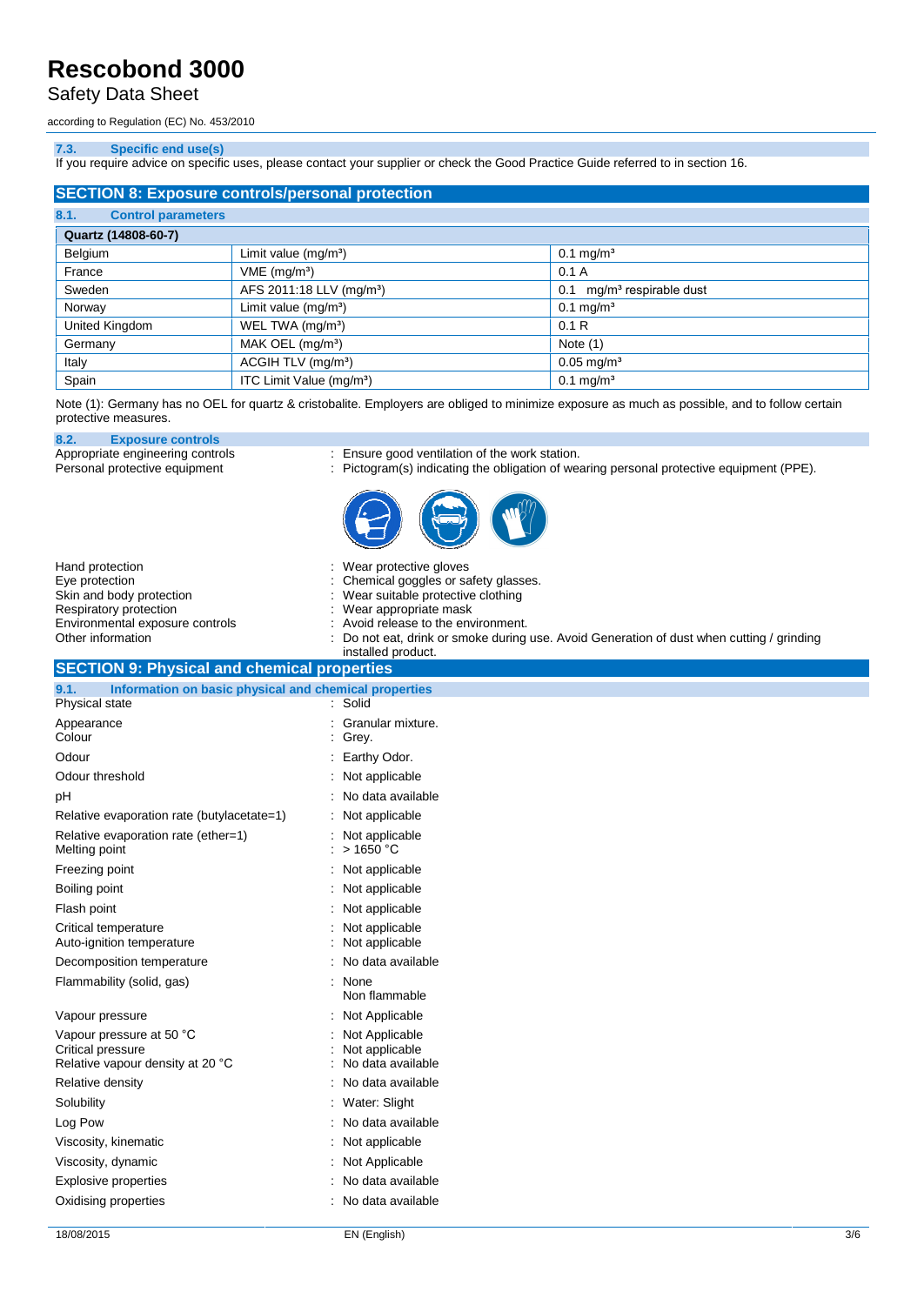### Safety Data Sheet

according to Regulation (EC) No. 453/2010

### **7.3. Specific end use(s)**

If you require advice on specific uses, please contact your supplier or check the Good Practice Guide referred to in section 16.

| <b>SECTION 8: Exposure controls/personal protection</b> |                                      |                                          |  |
|---------------------------------------------------------|--------------------------------------|------------------------------------------|--|
| 8.1.<br><b>Control parameters</b>                       |                                      |                                          |  |
| Quartz (14808-60-7)                                     |                                      |                                          |  |
| Belgium                                                 | Limit value (mg/m <sup>3</sup> )     | $0.1 \,\mathrm{mg/m^3}$                  |  |
| France                                                  | VME (mg/m <sup>3</sup> )             | 0.1A                                     |  |
| Sweden                                                  | AFS 2011:18 LLV (mg/m <sup>3</sup> ) | mg/m <sup>3</sup> respirable dust<br>0.1 |  |
| Norway                                                  | Limit value (mg/m <sup>3</sup> )     | $0.1 \text{ mg/m}^3$                     |  |
| United Kingdom                                          | WEL TWA (mg/m <sup>3</sup> )         | 0.1R                                     |  |
| Germany                                                 | MAK OEL $(mg/m3)$                    | Note $(1)$                               |  |
| Italy                                                   | ACGIH TLV (mg/m <sup>3</sup> )       | $0.05 \,\mathrm{mg/m^3}$                 |  |
| Spain                                                   | ITC Limit Value (mg/m <sup>3</sup> ) | $0.1$ mg/m <sup>3</sup>                  |  |

Note (1): Germany has no OEL for quartz & cristobalite. Employers are obliged to minimize exposure as much as possible, and to follow certain protective measures.

**8.2. Exposure controls**

Appropriate engineering controls : Ensure good ventilation of the work station.

Personal protective equipment  $\qquad \qquad : \qquad$  Pictogram(s) indicating the obligation of wearing personal protective equipment (PPE).



| Hand protection<br>Eye protection                             | : Wear protective gloves<br>: Chemical goggles or safety glasses.                                               |
|---------------------------------------------------------------|-----------------------------------------------------------------------------------------------------------------|
| Skin and body protection                                      | : Wear suitable protective clothing                                                                             |
| Respiratory protection<br>Environmental exposure controls     | : Wear appropriate mask<br>: Avoid release to the environment.                                                  |
| Other information                                             | : Do not eat, drink or smoke during use. Avoid Generation of dust when cutting / grinding<br>installed product. |
| <b>SECTION 9: Physical and chemical properties</b>            |                                                                                                                 |
| 9.1.<br>Information on basic physical and chemical properties |                                                                                                                 |
| Physical state                                                | : Solid                                                                                                         |

| 9.1.<br>Information on basic physical and chemical properties                     |                                                       |
|-----------------------------------------------------------------------------------|-------------------------------------------------------|
| Physical state                                                                    | : Solid                                               |
| Appearance<br>Colour                                                              | Granular mixture.<br>Grey.                            |
| Odour                                                                             | Earthy Odor.                                          |
| Odour threshold                                                                   | Not applicable                                        |
| pH                                                                                | No data available                                     |
| Relative evaporation rate (butylacetate=1)                                        | : Not applicable                                      |
| Relative evaporation rate (ether=1)<br>Melting point                              | Not applicable<br>>1650 °C                            |
| Freezing point                                                                    | : Not applicable                                      |
| Boiling point                                                                     | Not applicable                                        |
| Flash point                                                                       | Not applicable                                        |
| Critical temperature<br>Auto-ignition temperature                                 | Not applicable<br>Not applicable                      |
| Decomposition temperature                                                         | No data available                                     |
| Flammability (solid, gas)                                                         | None<br>Non flammable                                 |
| Vapour pressure                                                                   | Not Applicable                                        |
| Vapour pressure at 50 °C<br>Critical pressure<br>Relative vapour density at 20 °C | Not Applicable<br>Not applicable<br>No data available |
| Relative density                                                                  | No data available                                     |
| Solubility                                                                        | : Water: Slight                                       |
| Log Pow                                                                           | No data available                                     |
| Viscosity, kinematic                                                              | : Not applicable                                      |
| Viscosity, dynamic                                                                | Not Applicable                                        |
| <b>Explosive properties</b>                                                       | No data available                                     |
| Oxidising properties                                                              | : No data available                                   |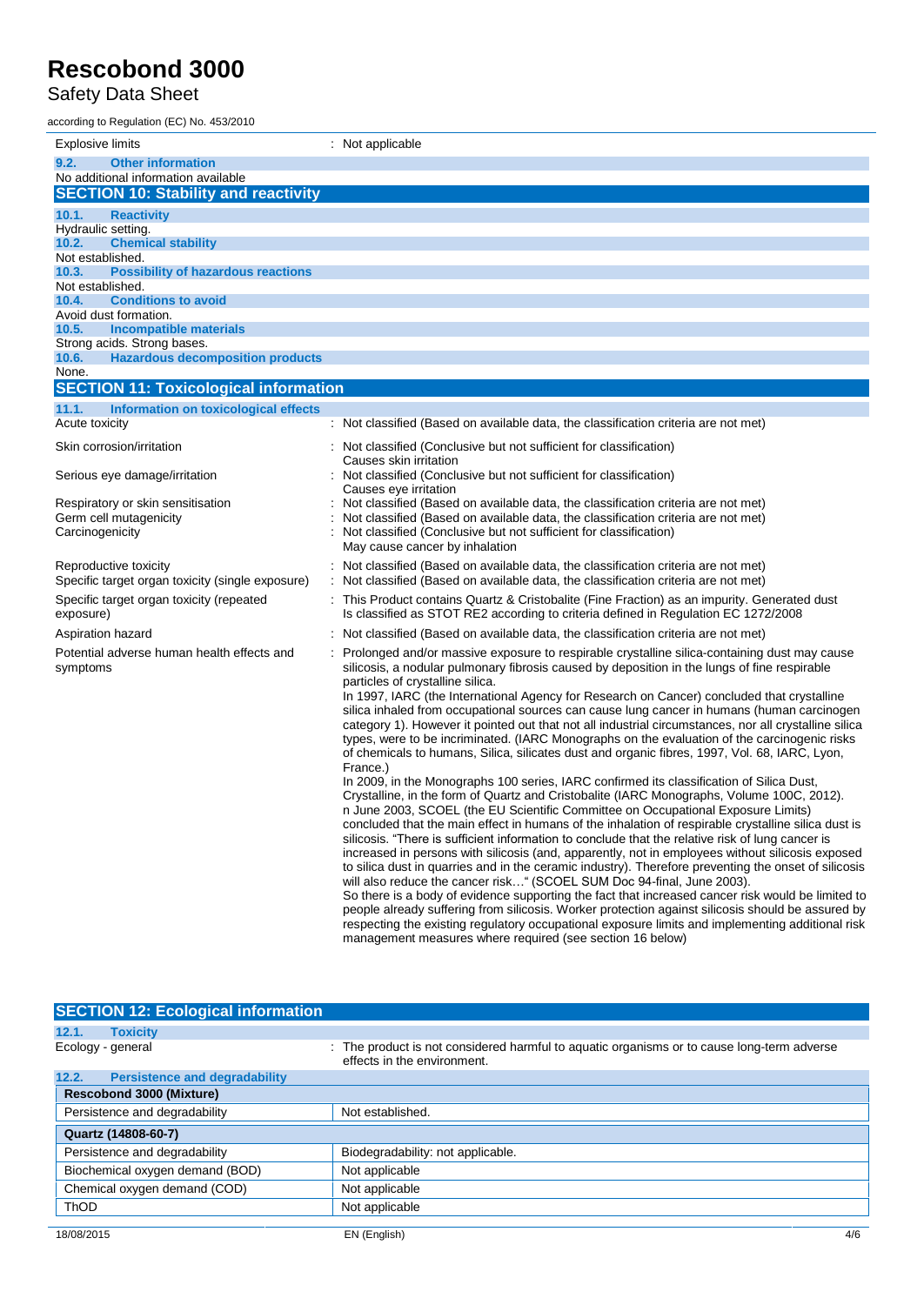Safety Data Sheet

| according to Regulation (EC) No. 453/2010                                       |                                                                                                                                                                                                       |
|---------------------------------------------------------------------------------|-------------------------------------------------------------------------------------------------------------------------------------------------------------------------------------------------------|
| Explosive limits                                                                | : Not applicable                                                                                                                                                                                      |
| 9.2.<br><b>Other information</b>                                                |                                                                                                                                                                                                       |
| No additional information available                                             |                                                                                                                                                                                                       |
| <b>SECTION 10: Stability and reactivity</b>                                     |                                                                                                                                                                                                       |
| 10.1.<br><b>Reactivity</b><br>Hydraulic setting.                                |                                                                                                                                                                                                       |
| 10.2.<br><b>Chemical stability</b>                                              |                                                                                                                                                                                                       |
| Not established.                                                                |                                                                                                                                                                                                       |
| 10.3.<br><b>Possibility of hazardous reactions</b>                              |                                                                                                                                                                                                       |
| Not established.<br><b>Conditions to avoid</b><br>10.4.                         |                                                                                                                                                                                                       |
| Avoid dust formation.                                                           |                                                                                                                                                                                                       |
| <b>Incompatible materials</b><br>10.5.                                          |                                                                                                                                                                                                       |
| Strong acids. Strong bases.<br>10.6.<br><b>Hazardous decomposition products</b> |                                                                                                                                                                                                       |
| None.                                                                           |                                                                                                                                                                                                       |
| <b>SECTION 11: Toxicological information</b>                                    |                                                                                                                                                                                                       |
| 11.1.<br>Information on toxicological effects                                   |                                                                                                                                                                                                       |
| Acute toxicity                                                                  | : Not classified (Based on available data, the classification criteria are not met)                                                                                                                   |
| Skin corrosion/irritation                                                       | : Not classified (Conclusive but not sufficient for classification)                                                                                                                                   |
|                                                                                 | Causes skin irritation                                                                                                                                                                                |
| Serious eye damage/irritation                                                   | Not classified (Conclusive but not sufficient for classification)<br>Causes eye irritation                                                                                                            |
| Respiratory or skin sensitisation                                               | Not classified (Based on available data, the classification criteria are not met)                                                                                                                     |
| Germ cell mutagenicity                                                          | Not classified (Based on available data, the classification criteria are not met)                                                                                                                     |
| Carcinogenicity                                                                 | Not classified (Conclusive but not sufficient for classification)<br>May cause cancer by inhalation                                                                                                   |
|                                                                                 |                                                                                                                                                                                                       |
| Reproductive toxicity<br>Specific target organ toxicity (single exposure)       | : Not classified (Based on available data, the classification criteria are not met)<br>: Not classified (Based on available data, the classification criteria are not met)                            |
| Specific target organ toxicity (repeated                                        | : This Product contains Quartz & Cristobalite (Fine Fraction) as an impurity. Generated dust                                                                                                          |
| exposure)                                                                       | Is classified as STOT RE2 according to criteria defined in Regulation EC 1272/2008                                                                                                                    |
| Aspiration hazard                                                               | Not classified (Based on available data, the classification criteria are not met)                                                                                                                     |
| Potential adverse human health effects and                                      | Prolonged and/or massive exposure to respirable crystalline silica-containing dust may cause                                                                                                          |
| symptoms                                                                        | silicosis, a nodular pulmonary fibrosis caused by deposition in the lungs of fine respirable                                                                                                          |
|                                                                                 | particles of crystalline silica.                                                                                                                                                                      |
|                                                                                 | In 1997, IARC (the International Agency for Research on Cancer) concluded that crystalline<br>silica inhaled from occupational sources can cause lung cancer in humans (human carcinogen              |
|                                                                                 | category 1). However it pointed out that not all industrial circumstances, nor all crystalline silica                                                                                                 |
|                                                                                 | types, were to be incriminated. (IARC Monographs on the evaluation of the carcinogenic risks                                                                                                          |
|                                                                                 | of chemicals to humans, Silica, silicates dust and organic fibres, 1997, Vol. 68, IARC, Lyon,                                                                                                         |
|                                                                                 | France.)<br>In 2009, in the Monographs 100 series, IARC confirmed its classification of Silica Dust,                                                                                                  |
|                                                                                 | Crystalline, in the form of Quartz and Cristobalite (IARC Monographs, Volume 100C, 2012).                                                                                                             |
|                                                                                 | n June 2003, SCOEL (the EU Scientific Committee on Occupational Exposure Limits)                                                                                                                      |
|                                                                                 | concluded that the main effect in humans of the inhalation of respirable crystalline silica dust is                                                                                                   |
|                                                                                 | silicosis. "There is sufficient information to conclude that the relative risk of lung cancer is<br>increased in persons with silicosis (and, apparently, not in employees without silicosis exposed  |
|                                                                                 | to silica dust in quarries and in the ceramic industry). Therefore preventing the onset of silicosis                                                                                                  |
|                                                                                 | will also reduce the cancer risk" (SCOEL SUM Doc 94-final, June 2003).                                                                                                                                |
|                                                                                 | So there is a body of evidence supporting the fact that increased cancer risk would be limited to                                                                                                     |
|                                                                                 | people already suffering from silicosis. Worker protection against silicosis should be assured by<br>respecting the existing regulatory occupational exposure limits and implementing additional risk |
|                                                                                 | management measures where required (see section 16 below)                                                                                                                                             |

| <b>SECTION 12: Ecological information</b>     |                                                                                                                           |
|-----------------------------------------------|---------------------------------------------------------------------------------------------------------------------------|
| 12.1.<br><b>Toxicity</b>                      |                                                                                                                           |
| Ecology - general                             | : The product is not considered harmful to aquatic organisms or to cause long-term adverse<br>effects in the environment. |
| 12.2.<br><b>Persistence and degradability</b> |                                                                                                                           |
| <b>Rescobond 3000 (Mixture)</b>               |                                                                                                                           |
| Persistence and degradability                 | Not established.                                                                                                          |
| Quartz (14808-60-7)                           |                                                                                                                           |
| Persistence and degradability                 | Biodegradability: not applicable.                                                                                         |
| Biochemical oxygen demand (BOD)               | Not applicable                                                                                                            |
| Chemical oxygen demand (COD)                  | Not applicable                                                                                                            |
| <b>ThOD</b>                                   | Not applicable                                                                                                            |
| 18/08/2015                                    | EN (English)<br>4/6                                                                                                       |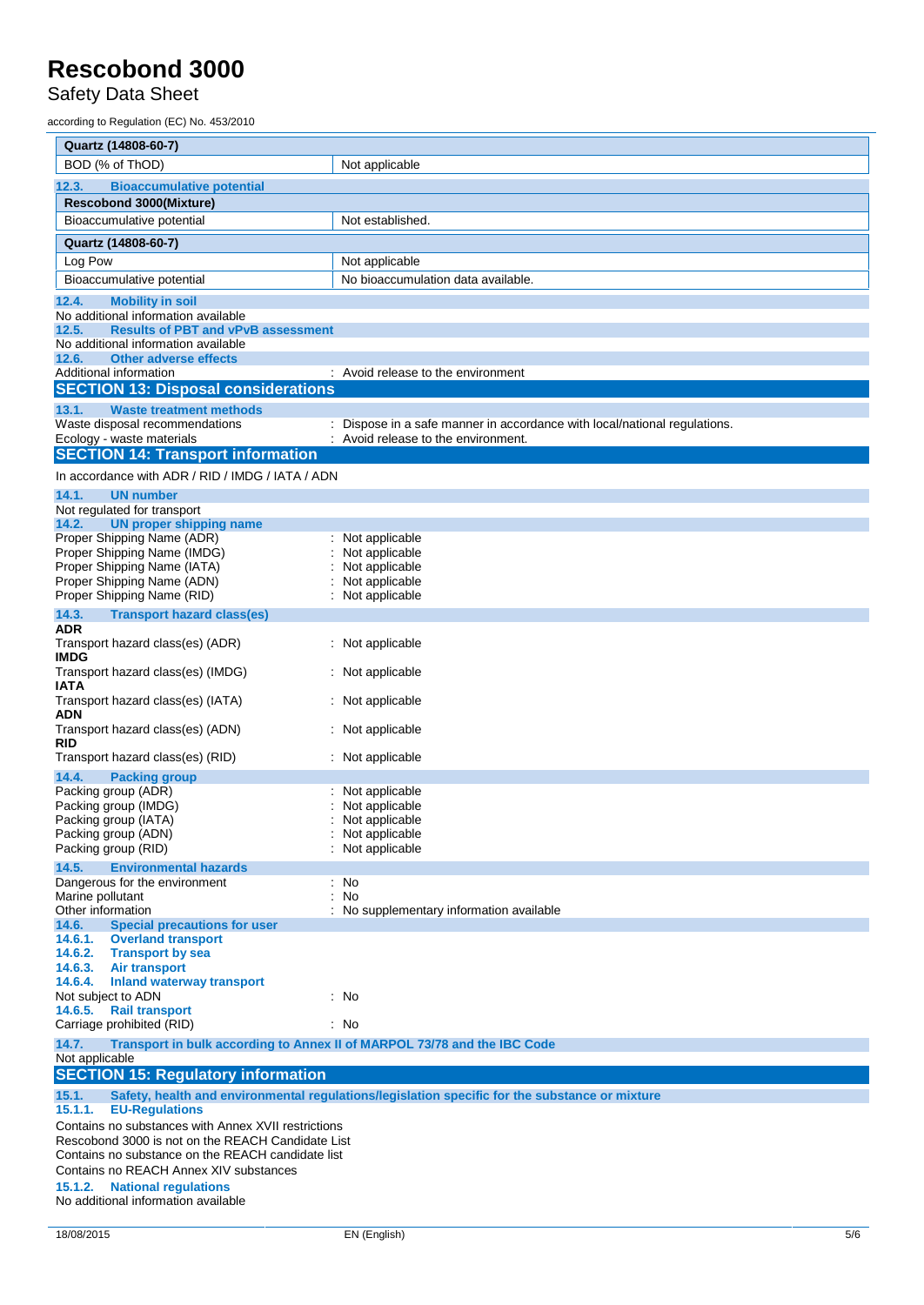Safety Data Sheet

according to Regulation (EC) No. 453/2010

| Quartz (14808-60-7)                                                                         |                                                                                                |  |
|---------------------------------------------------------------------------------------------|------------------------------------------------------------------------------------------------|--|
| BOD (% of ThOD)                                                                             | Not applicable                                                                                 |  |
| 12.3.<br><b>Bioaccumulative potential</b>                                                   |                                                                                                |  |
| <b>Rescobond 3000(Mixture)</b>                                                              |                                                                                                |  |
| Bioaccumulative potential                                                                   | Not established.                                                                               |  |
| Quartz (14808-60-7)                                                                         |                                                                                                |  |
| Log Pow                                                                                     | Not applicable                                                                                 |  |
| Bioaccumulative potential                                                                   | No bioaccumulation data available.                                                             |  |
| 12.4.<br><b>Mobility in soil</b>                                                            |                                                                                                |  |
| No additional information available                                                         |                                                                                                |  |
| <b>Results of PBT and vPvB assessment</b><br>12.5.                                          |                                                                                                |  |
| No additional information available<br>12.6.<br><b>Other adverse effects</b>                |                                                                                                |  |
| Additional information                                                                      | : Avoid release to the environment                                                             |  |
| <b>SECTION 13: Disposal considerations</b>                                                  |                                                                                                |  |
| 13.1.<br><b>Waste treatment methods</b>                                                     |                                                                                                |  |
| Waste disposal recommendations                                                              | Dispose in a safe manner in accordance with local/national regulations.                        |  |
| Ecology - waste materials<br><b>SECTION 14: Transport information</b>                       | : Avoid release to the environment.                                                            |  |
| In accordance with ADR / RID / IMDG / IATA / ADN                                            |                                                                                                |  |
| 14.1.<br><b>UN number</b>                                                                   |                                                                                                |  |
| Not regulated for transport                                                                 |                                                                                                |  |
| 14.2.<br><b>UN proper shipping name</b>                                                     |                                                                                                |  |
| Proper Shipping Name (ADR)                                                                  | Not applicable                                                                                 |  |
| Proper Shipping Name (IMDG)<br>Proper Shipping Name (IATA)                                  | Not applicable<br>Not applicable                                                               |  |
| Proper Shipping Name (ADN)                                                                  | Not applicable                                                                                 |  |
| Proper Shipping Name (RID)                                                                  | Not applicable                                                                                 |  |
| 14.3.<br><b>Transport hazard class(es)</b>                                                  |                                                                                                |  |
| ADR<br>Transport hazard class(es) (ADR)                                                     | Not applicable                                                                                 |  |
| <b>IMDG</b>                                                                                 |                                                                                                |  |
| Transport hazard class(es) (IMDG)<br>IATA                                                   | Not applicable                                                                                 |  |
| Transport hazard class(es) (IATA)<br>ADN                                                    | Not applicable                                                                                 |  |
| Transport hazard class(es) (ADN)<br><b>RID</b>                                              | Not applicable                                                                                 |  |
| Transport hazard class(es) (RID)                                                            | : Not applicable                                                                               |  |
| 14.4.<br><b>Packing group</b>                                                               |                                                                                                |  |
| Packing group (ADR)<br>Packing group (IMDG)                                                 | Not applicable<br>Not applicable                                                               |  |
| Packing group (IATA)                                                                        | Not applicable                                                                                 |  |
| Packing group (ADN)                                                                         | : Not applicable                                                                               |  |
| Packing group (RID)                                                                         | Not applicable                                                                                 |  |
| 14.5.<br><b>Environmental hazards</b><br>Dangerous for the environment                      | : No                                                                                           |  |
| Marine pollutant                                                                            | <b>No</b>                                                                                      |  |
| Other information                                                                           | No supplementary information available                                                         |  |
| 14.6.<br><b>Special precautions for user</b><br>14.6.1.<br><b>Overland transport</b>        |                                                                                                |  |
| 14.6.2.<br><b>Transport by sea</b>                                                          |                                                                                                |  |
| 14.6.3.<br>Air transport                                                                    |                                                                                                |  |
| 14.6.4.<br><b>Inland waterway transport</b><br>Not subject to ADN                           | : No                                                                                           |  |
| 14.6.5. Rail transport                                                                      |                                                                                                |  |
| Carriage prohibited (RID)                                                                   | : No                                                                                           |  |
| 14.7.<br>Transport in bulk according to Annex II of MARPOL 73/78 and the IBC Code           |                                                                                                |  |
| Not applicable<br><b>SECTION 15: Regulatory information</b>                                 |                                                                                                |  |
| 15.1.<br>15.1.1.<br><b>EU-Regulations</b>                                                   | Safety, health and environmental regulations/legislation specific for the substance or mixture |  |
| Contains no substances with Annex XVII restrictions                                         |                                                                                                |  |
| Rescobond 3000 is not on the REACH Candidate List                                           |                                                                                                |  |
| Contains no substance on the REACH candidate list<br>Contains no REACH Annex XIV substances |                                                                                                |  |
| <b>National regulations</b><br>15.1.2.                                                      |                                                                                                |  |
| No additional information available                                                         |                                                                                                |  |